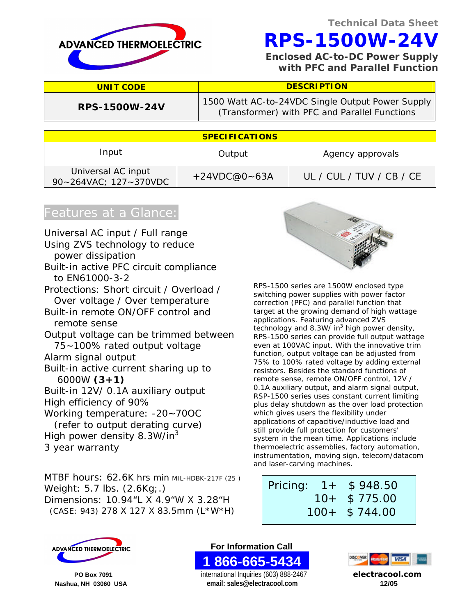

 **RPS-1500W-24V**

 **Enclosed AC-to-DC Power Supply with PFC and Parallel Function**

| <b>DESCRIPTION</b><br><b>UNIT CODE</b>      |                  |                                                                                                   |  |  |
|---------------------------------------------|------------------|---------------------------------------------------------------------------------------------------|--|--|
| <b>RPS-1500W-24V</b>                        |                  | 1500 Watt AC-to-24VDC Single Output Power Supply<br>(Transformer) with PFC and Parallel Functions |  |  |
|                                             |                  |                                                                                                   |  |  |
| <b>SPECIFICATIONS</b>                       |                  |                                                                                                   |  |  |
| Input                                       | Output           | Agency approvals                                                                                  |  |  |
| Universal AC input<br>90~264VAC; 127~370VDC | $+24VDC@0 - 63A$ | UL / CUL / TUV / CB / CE                                                                          |  |  |

### Features at a Glance:

Universal AC input / Full range Using ZVS technology to reduce power dissipation Built-in active PFC circuit compliance to EN61000-3-2 Protections: Short circuit / Overload / Over voltage / Over temperature Built-in remote ON/OFF control and remote sense Output voltage can be trimmed between 75~100% rated output voltage Alarm signal output Built-in active current sharing up to 6000W **(3+1)** Built-in 12V/ 0.1A auxiliary output High efficiency of 90% Working temperature: -20~70OC (refer to output derating curve) High power density 8.3W/in<sup>3</sup> 3 year warranty

MTBF hours: 62.6K hrs min MIL-HDBK-217F (25) Weight: 5.7 lbs. (2.6Kg;.) Dimensions: 10.94"L X 4.9"W X 3.28"H (CASE: 943) 278 X 127 X 83.5mm (L\*W\*H)



RPS-1500 series are 1500W enclosed type switching power supplies with power factor correction (PFC) and parallel function that target at the growing demand of high wattage applications. Featuring advanced ZVS technology and 8.3W/ in<sup>3</sup> high power density, RPS-1500 series can provide full output wattage even at 100VAC input. With the innovative trim function, output voltage can be adjusted from 75% to 100% rated voltage by adding external resistors. Besides the standard functions of remote sense, remote ON/OFF control, 12V / 0.1A auxiliary output, and alarm signal output, RSP-1500 series uses constant current limiting plus delay shutdown as the over load protection which gives users the flexibility under applications of capacitive/inductive load and still provide full protection for customers' system in the mean time. Applications include thermoelectric assemblies, factory automation, instrumentation, moving sign, telecom/datacom and laser-carving machines.

### Pricing: 1+ \$ 948.50 10+ \$ 775.00 100+ \$ 744.00



**ADVANCED THERMOELECTRIC <b>EXECUTE: For Information Call 1 866-665-5434** 

 **PO Box 7091** international Inquiries (603) 888-2467 **electracool.com Nashua, NH 03060 USA email: sales@electracool.com 12/05**

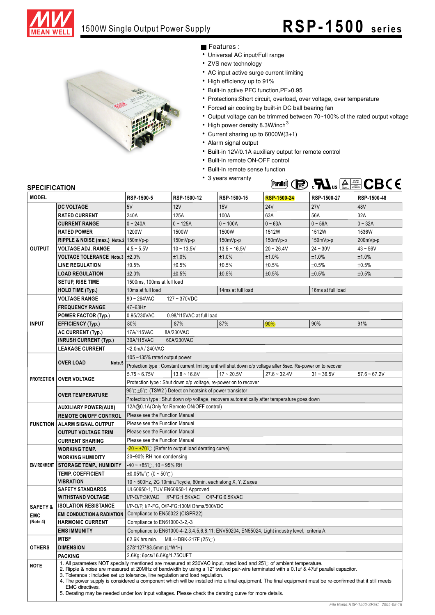

**Parallel (Re). FL**us **AL E** CBC 6



- Features :
- Universal AC input/Full range
- ZVS new technology
- AC input active surge current limiting
- High efficiency up to 91%
- Built-in active PFC function, PF>0.95
- Protections:Short circuit, overload, over voltage, over temperature
- Forced air cooling by built-in DC ball bearing fan
- Output voltage can be trimmed between 70~100% of the rated output voltage
	- High power density 8.3W/inch<sup>3</sup>
- Current sharing up to  $6000W(3+1)$
- Alarm signal output
- Built-in 12V/0.1A auxiliary output for remote control
- Built-in remote ON-OFF control
- Built-in remote sense function
- 3 years warranty



| <b>MODEL</b>        |                                                                                                                                                                                                                                                                                                                                                                                                                                                                                                                                                                                                                                                   | RSP-1500-5                                                                                                                                                 | RSP-1500-12              | RSP-1500-15    | <b>RSP-1500-24</b>                                                                                             | RSP-1500-27  | RSP-1500-48    |
|---------------------|---------------------------------------------------------------------------------------------------------------------------------------------------------------------------------------------------------------------------------------------------------------------------------------------------------------------------------------------------------------------------------------------------------------------------------------------------------------------------------------------------------------------------------------------------------------------------------------------------------------------------------------------------|------------------------------------------------------------------------------------------------------------------------------------------------------------|--------------------------|----------------|----------------------------------------------------------------------------------------------------------------|--------------|----------------|
|                     | <b>DC VOLTAGE</b>                                                                                                                                                                                                                                                                                                                                                                                                                                                                                                                                                                                                                                 | 5V                                                                                                                                                         | <b>12V</b>               | 15V            | <b>24V</b>                                                                                                     | <b>27V</b>   | 48V            |
|                     | <b>RATED CURRENT</b>                                                                                                                                                                                                                                                                                                                                                                                                                                                                                                                                                                                                                              | 240A                                                                                                                                                       | 125A                     | 100A           | 63A                                                                                                            | 56A          | 32A            |
|                     | <b>CURRENT RANGE</b>                                                                                                                                                                                                                                                                                                                                                                                                                                                                                                                                                                                                                              | $0 - 240A$                                                                                                                                                 | $0 - 125A$               | $0 - 100A$     | $0 - 63A$                                                                                                      | $0 - 56A$    | $0 - 32A$      |
|                     | <b>RATED POWER</b>                                                                                                                                                                                                                                                                                                                                                                                                                                                                                                                                                                                                                                | 1200W                                                                                                                                                      | 1500W                    | 1500W          | 1512W                                                                                                          | 1512W        | 1536W          |
|                     | RIPPLE & NOISE (max.) Note.2 150mVp-p                                                                                                                                                                                                                                                                                                                                                                                                                                                                                                                                                                                                             |                                                                                                                                                            | 150mVp-p                 | $150mVp-p$     | 150mVp-p                                                                                                       | 150mVp-p     | 200mVp-p       |
| <b>OUTPUT</b>       | <b>VOLTAGE ADJ. RANGE</b>                                                                                                                                                                                                                                                                                                                                                                                                                                                                                                                                                                                                                         | $4.5 - 5.5V$                                                                                                                                               | $10 - 13.5V$             | $13.5 - 16.5V$ | $20 - 26.4V$                                                                                                   | $24 - 30V$   | $43 - 56V$     |
|                     | <b>VOLTAGE TOLERANCE Note.3</b>                                                                                                                                                                                                                                                                                                                                                                                                                                                                                                                                                                                                                   | ±2.0%                                                                                                                                                      | ±1.0%                    | ±1.0%          | ±1.0%                                                                                                          | ±1.0%        | ±1.0%          |
|                     | <b>LINE REGULATION</b>                                                                                                                                                                                                                                                                                                                                                                                                                                                                                                                                                                                                                            | ±0.5%                                                                                                                                                      | ±0.5%                    | ±0.5%          | ±0.5%                                                                                                          | ±0.5%        | ±0.5%          |
|                     | <b>LOAD REGULATION</b>                                                                                                                                                                                                                                                                                                                                                                                                                                                                                                                                                                                                                            | ±2.0%                                                                                                                                                      | ±0.5%                    | ±0.5%          | ±0.5%                                                                                                          | ±0.5%        | ±0.5%          |
|                     | <b>SETUP, RISE TIME</b>                                                                                                                                                                                                                                                                                                                                                                                                                                                                                                                                                                                                                           | 1500ms, 100ms at full load                                                                                                                                 |                          |                |                                                                                                                |              |                |
|                     | <b>HOLD TIME (Typ.)</b>                                                                                                                                                                                                                                                                                                                                                                                                                                                                                                                                                                                                                           | 14ms at full load<br>16ms at full load<br>10ms at full load                                                                                                |                          |                |                                                                                                                |              |                |
|                     | <b>VOLTAGE RANGE</b>                                                                                                                                                                                                                                                                                                                                                                                                                                                                                                                                                                                                                              | $90 - 264$ VAC                                                                                                                                             | 127~370VDC               |                |                                                                                                                |              |                |
|                     | <b>FREQUENCY RANGE</b>                                                                                                                                                                                                                                                                                                                                                                                                                                                                                                                                                                                                                            | 47~63Hz                                                                                                                                                    |                          |                |                                                                                                                |              |                |
|                     | <b>POWER FACTOR (Typ.)</b>                                                                                                                                                                                                                                                                                                                                                                                                                                                                                                                                                                                                                        | 0.95/230VAC                                                                                                                                                | 0.98/115VAC at full load |                |                                                                                                                |              |                |
| <b>INPUT</b>        | <b>EFFICIENCY (Typ.)</b>                                                                                                                                                                                                                                                                                                                                                                                                                                                                                                                                                                                                                          | 80%                                                                                                                                                        | 87%                      | 87%            | 90%                                                                                                            | 90%          | 91%            |
|                     | AC CURRENT (Typ.)                                                                                                                                                                                                                                                                                                                                                                                                                                                                                                                                                                                                                                 | 17A/115VAC                                                                                                                                                 | 8A/230VAC                |                |                                                                                                                |              |                |
|                     | <b>INRUSH CURRENT (Typ.)</b>                                                                                                                                                                                                                                                                                                                                                                                                                                                                                                                                                                                                                      | 30A/115VAC                                                                                                                                                 | 60A/230VAC               |                |                                                                                                                |              |                |
|                     | <b>LEAKAGE CURRENT</b>                                                                                                                                                                                                                                                                                                                                                                                                                                                                                                                                                                                                                            | <2.0mA / 240VAC                                                                                                                                            |                          |                |                                                                                                                |              |                |
|                     |                                                                                                                                                                                                                                                                                                                                                                                                                                                                                                                                                                                                                                                   | 105~135% rated output power                                                                                                                                |                          |                |                                                                                                                |              |                |
|                     | <b>OVER LOAD</b><br>Note.5                                                                                                                                                                                                                                                                                                                                                                                                                                                                                                                                                                                                                        |                                                                                                                                                            |                          |                | Protection type : Constant current limiting unit will shut down o/p voltage after 5sec. Re-power on to recover |              |                |
|                     | <b>PROTECTION OVER VOLTAGE</b>                                                                                                                                                                                                                                                                                                                                                                                                                                                                                                                                                                                                                    | $5.75 - 6.75V$                                                                                                                                             | $13.8 - 16.8V$           | $17 - 20.5V$   | $27.6 - 32.4V$                                                                                                 | $31 - 36.5V$ | $57.6 - 67.2V$ |
|                     |                                                                                                                                                                                                                                                                                                                                                                                                                                                                                                                                                                                                                                                   | Protection type : Shut down o/p voltage, re-power on to recover                                                                                            |                          |                |                                                                                                                |              |                |
|                     | <b>OVER TEMPERATURE</b>                                                                                                                                                                                                                                                                                                                                                                                                                                                                                                                                                                                                                           | 95℃±5℃ (TSW2) Detect on heatsink of power transistor                                                                                                       |                          |                |                                                                                                                |              |                |
|                     |                                                                                                                                                                                                                                                                                                                                                                                                                                                                                                                                                                                                                                                   | Protection type : Shut down o/p voltage, recovers automatically after temperature goes down                                                                |                          |                |                                                                                                                |              |                |
|                     | <b>AUXILIARY POWER(AUX)</b>                                                                                                                                                                                                                                                                                                                                                                                                                                                                                                                                                                                                                       | 12A@0.1A(Only for Remote ON/OFF control)                                                                                                                   |                          |                |                                                                                                                |              |                |
|                     | <b>REMOTE ON/OFF CONTROL</b>                                                                                                                                                                                                                                                                                                                                                                                                                                                                                                                                                                                                                      | Please see the Function Manual                                                                                                                             |                          |                |                                                                                                                |              |                |
|                     | <b>FUNCTION   ALARM SIGNAL OUTPUT</b>                                                                                                                                                                                                                                                                                                                                                                                                                                                                                                                                                                                                             | Please see the Function Manual                                                                                                                             |                          |                |                                                                                                                |              |                |
|                     | <b>OUTPUT VOLTAGE TRIM</b>                                                                                                                                                                                                                                                                                                                                                                                                                                                                                                                                                                                                                        | Please see the Function Manual                                                                                                                             |                          |                |                                                                                                                |              |                |
|                     | <b>CURRENT SHARING</b>                                                                                                                                                                                                                                                                                                                                                                                                                                                                                                                                                                                                                            | Please see the Function Manual                                                                                                                             |                          |                |                                                                                                                |              |                |
|                     | <b>WORKING TEMP.</b>                                                                                                                                                                                                                                                                                                                                                                                                                                                                                                                                                                                                                              | $\frac{1}{20}$ ~ +70 <sup>°</sup> C (Refer to output load derating curve)                                                                                  |                          |                |                                                                                                                |              |                |
| <b>ENVIRONMENT</b>  | <b>WORKING HUMIDITY</b><br><b>STORAGE TEMP., HUMIDITY</b>                                                                                                                                                                                                                                                                                                                                                                                                                                                                                                                                                                                         | 20~90% RH non-condensing<br>$-40 \sim +85^{\circ}$ C, 10 ~ 95% RH<br>$\pm 0.05\%$ (°C (0 ~ 50°C)                                                           |                          |                |                                                                                                                |              |                |
|                     | <b>TEMP. COEFFICIENT</b>                                                                                                                                                                                                                                                                                                                                                                                                                                                                                                                                                                                                                          |                                                                                                                                                            |                          |                |                                                                                                                |              |                |
|                     | <b>VIBRATION</b>                                                                                                                                                                                                                                                                                                                                                                                                                                                                                                                                                                                                                                  | 10 ~ 500Hz, 2G 10min./1cycle, 60min. each along X, Y, Z axes                                                                                               |                          |                |                                                                                                                |              |                |
|                     | <b>SAFETY STANDARDS</b>                                                                                                                                                                                                                                                                                                                                                                                                                                                                                                                                                                                                                           | UL60950-1, TUV EN60950-1 Approved                                                                                                                          |                          |                |                                                                                                                |              |                |
|                     | <b>WITHSTAND VOLTAGE</b>                                                                                                                                                                                                                                                                                                                                                                                                                                                                                                                                                                                                                          | I/P-O/P:3KVAC I/P-FG:1.5KVAC O/P-FG:0.5KVAC<br>I/P-O/P, I/P-FG, O/P-FG:100M Ohms/500VDC<br>Compliance to EN55022 (CISPR22)<br>Compliance to EN61000-3-2,-3 |                          |                |                                                                                                                |              |                |
| <b>SAFETY &amp;</b> | <b>ISOLATION RESISTANCE</b>                                                                                                                                                                                                                                                                                                                                                                                                                                                                                                                                                                                                                       |                                                                                                                                                            |                          |                |                                                                                                                |              |                |
| <b>EMC</b>          | <b>EMI CONDUCTION &amp; RADIATION</b>                                                                                                                                                                                                                                                                                                                                                                                                                                                                                                                                                                                                             |                                                                                                                                                            |                          |                |                                                                                                                |              |                |
| (Note 4)            | <b>HARMONIC CURRENT</b>                                                                                                                                                                                                                                                                                                                                                                                                                                                                                                                                                                                                                           |                                                                                                                                                            |                          |                |                                                                                                                |              |                |
|                     | <b>EMS IMMUNITY</b><br>Compliance to EN61000-4-2,3,4,5,6,8,11; ENV50204, EN55024, Light industry level, criteria A                                                                                                                                                                                                                                                                                                                                                                                                                                                                                                                                |                                                                                                                                                            |                          |                |                                                                                                                |              |                |
|                     | <b>MTBF</b>                                                                                                                                                                                                                                                                                                                                                                                                                                                                                                                                                                                                                                       | 62.6K hrs min.                                                                                                                                             | MIL-HDBK-217F (25℃)      |                |                                                                                                                |              |                |
| <b>OTHERS</b>       | <b>DIMENSION</b>                                                                                                                                                                                                                                                                                                                                                                                                                                                                                                                                                                                                                                  | 278*127*83.5mm (L*W*H)                                                                                                                                     |                          |                |                                                                                                                |              |                |
|                     | <b>PACKING</b>                                                                                                                                                                                                                                                                                                                                                                                                                                                                                                                                                                                                                                    | 2.6Kg; 6pcs/16.6Kg/1.75CUFT                                                                                                                                |                          |                |                                                                                                                |              |                |
| <b>NOTE</b>         | 1. All parameters NOT specially mentioned are measured at 230VAC input, rated load and 25°C of ambient temperature.<br>2. Ripple & noise are measured at 20MHz of bandwidth by using a 12" twisted pair-wire terminated with a 0.1uf & 47uf parallel capacitor.<br>3. Tolerance: includes set up tolerance, line regulation and load regulation.<br>4. The power supply is considered a component which will be installed into a final equipment. The final equipment must be re-confirmed that it still meets<br><b>EMC</b> directives.<br>5. Derating may be needed under low input voltages. Please check the derating curve for more details. |                                                                                                                                                            |                          |                |                                                                                                                |              |                |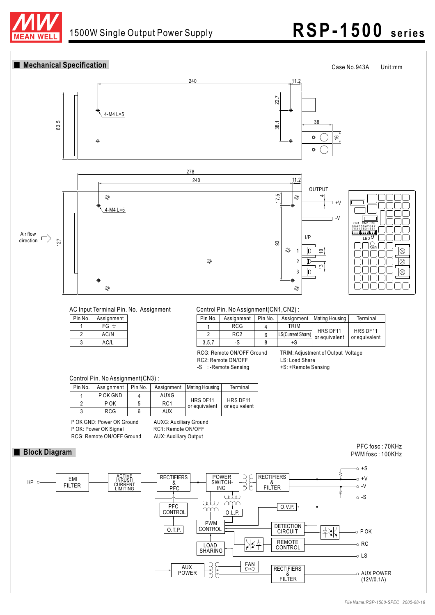

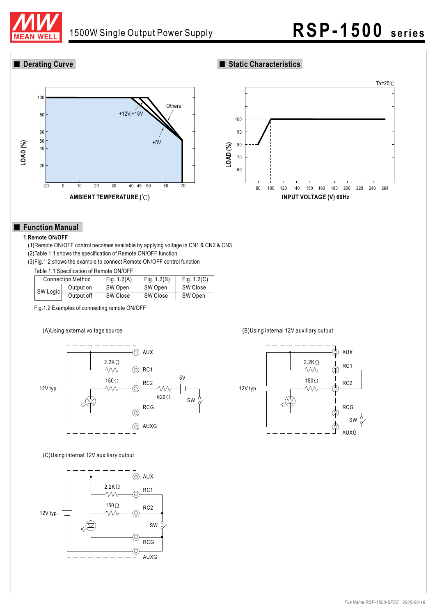

### ■ Derating Curve **Static Characteristics**





### **Function Manual**

#### **1.Remote ON/OFF**

(1)Remote ON/OFF control becomes available by applying voltage in CN1 & CN2 & CN3 (2)Table 1.1 shows the specification of Remote ON/OFF function (3)Fig.1.2 shows the example to connect Remote ON/OFF control function

Table 1.1 Specification of Remote ON/OFF

|          | <b>Connection Method</b> | Fig. $1.2(A)$ | Fig. $1.2(B)$ | Fig. $1.2(C)$ |
|----------|--------------------------|---------------|---------------|---------------|
| SW Logic | Output on                | SW Open       | SW Open       | SW Close      |
|          | Output off               | SW Close      | SW Close      | SW Open       |

Fig.1.2 Examples of connecting remote ON/OFF



#### (C)Using internal 12V auxiliary output



(A)Using external voltage source (B)Using internal 12V auxiliary output